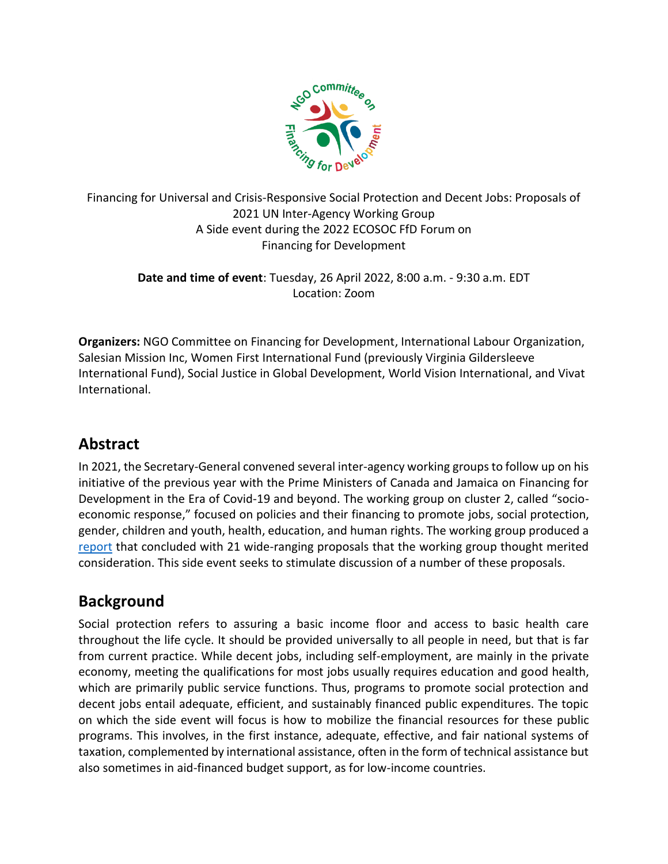

Financing for Universal and Crisis-Responsive Social Protection and Decent Jobs: Proposals of 2021 UN Inter-Agency Working Group A Side event during the 2022 ECOSOC FfD Forum on Financing for Development

> **Date and time of event**: Tuesday, 26 April 2022, 8:00 a.m. - 9:30 a.m. EDT Location: Zoom

**Organizers:** NGO Committee on Financing for Development, International Labour Organization, Salesian Mission Inc, Women First International Fund (previously Virginia Gildersleeve International Fund), Social Justice in Global Development, World Vision International, and Vivat International.

## **Abstract**

In 2021, the Secretary-General convened several inter-agency working groups to follow up on his initiative of the previous year with the Prime Ministers of Canada and Jamaica on Financing for Development in the Era of Covid-19 and beyond. The working group on cluster 2, called "socioeconomic response," focused on policies and their financing to promote jobs, social protection, gender, children and youth, health, education, and human rights. The working group produced a [report](https://www.un.org/sites/un2.un.org/files/ffdi_cluster_ii_report.pdf) that concluded with 21 wide-ranging proposals that the working group thought merited consideration. This side event seeks to stimulate discussion of a number of these proposals.

## **Background**

Social protection refers to assuring a basic income floor and access to basic health care throughout the life cycle. It should be provided universally to all people in need, but that is far from current practice. While decent jobs, including self-employment, are mainly in the private economy, meeting the qualifications for most jobs usually requires education and good health, which are primarily public service functions. Thus, programs to promote social protection and decent jobs entail adequate, efficient, and sustainably financed public expenditures. The topic on which the side event will focus is how to mobilize the financial resources for these public programs. This involves, in the first instance, adequate, effective, and fair national systems of taxation, complemented by international assistance, often in the form of technical assistance but also sometimes in aid-financed budget support, as for low-income countries.